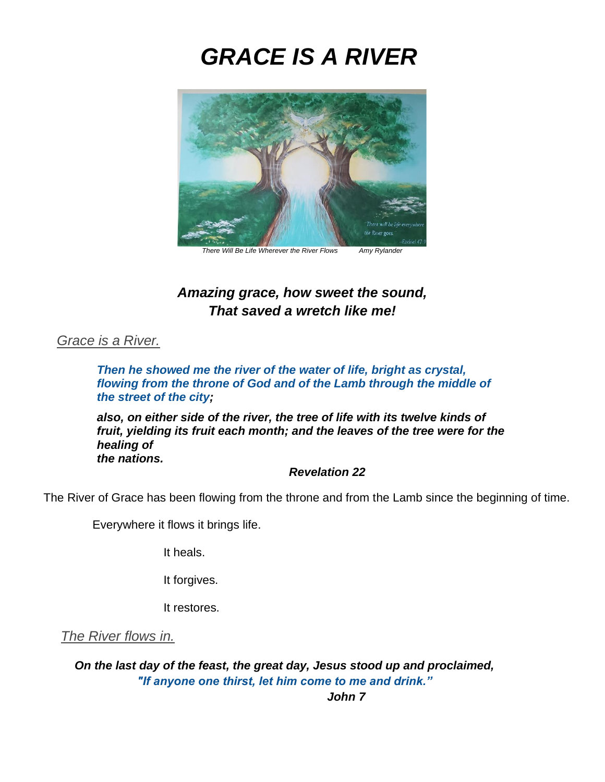# *GRACE IS A RIVER*



*There Will Be Life Wherever the River Flows Amy Rylander*

## *Amazing grace, how sweet the sound, That saved a wretch like me!*

## *Grace is a River.*

*Then he showed me the river of the water of life, bright as crystal, flowing from the throne of God and of the Lamb through the middle of the street of the city;*

*also, on either side of the river, the tree of life with its twelve kinds of fruit, yielding its fruit each month; and the leaves of the tree were for the healing of the nations.*

#### *Revelation 22*

The River of Grace has been flowing from the throne and from the Lamb since the beginning of time.

Everywhere it flows it brings life.

It heals.

It forgives.

It restores.

*The River flows in.*

*On the last day of the feast, the great day, Jesus stood up and proclaimed, "If anyone one thirst, let him come to me and drink."*

*John 7*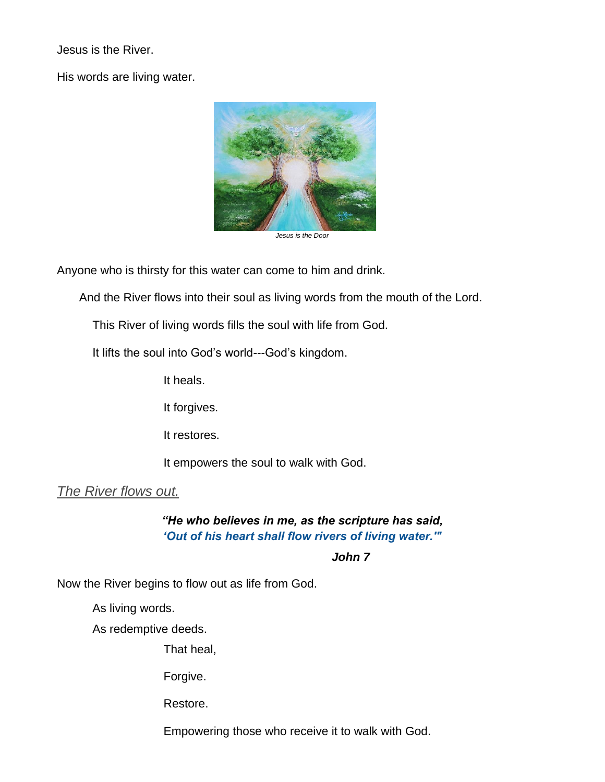Jesus is the River.

His words are living water.



*Jesus is the Door*

Anyone who is thirsty for this water can come to him and drink.

And the River flows into their soul as living words from the mouth of the Lord.

This River of living words fills the soul with life from God.

It lifts the soul into God's world---God's kingdom.

It heals.

It forgives.

It restores.

It empowers the soul to walk with God.

*The River flows out.*

*"He who believes in me, as the scripture has said, 'Out of his heart shall flow rivers of living water.'"* 

#### *John 7*

Now the River begins to flow out as life from God.

As living words.

As redemptive deeds.

That heal,

Forgive.

Restore.

Empowering those who receive it to walk with God.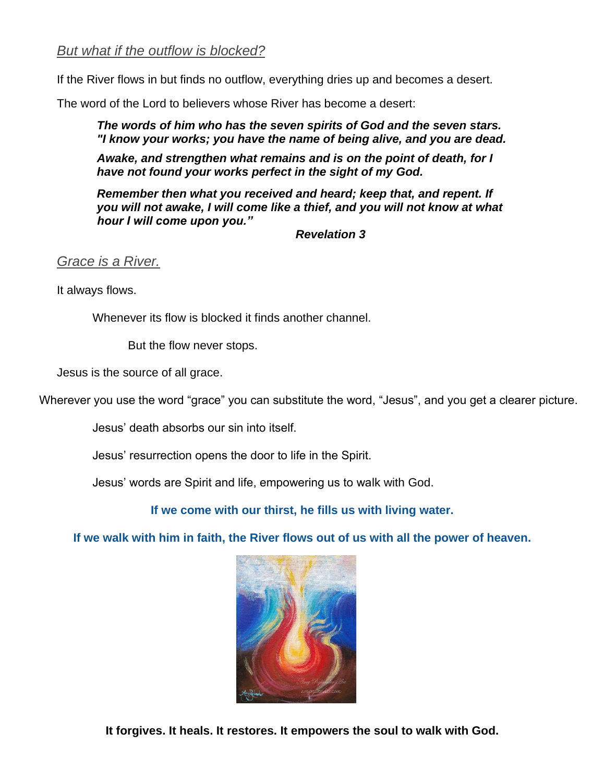## *But what if the outflow is blocked?*

If the River flows in but finds no outflow, everything dries up and becomes a desert.

The word of the Lord to believers whose River has become a desert:

*The words of him who has the seven spirits of God and the seven stars. "I know your works; you have the name of being alive, and you are dead.*

*Awake, and strengthen what remains and is on the point of death, for I have not found your works perfect in the sight of my God.*

*Remember then what you received and heard; keep that, and repent. If you will not awake, I will come like a thief, and you will not know at what hour I will come upon you."*

*Revelation 3*

*Grace is a River.* 

It always flows.

Whenever its flow is blocked it finds another channel.

But the flow never stops.

Jesus is the source of all grace.

Wherever you use the word "grace" you can substitute the word, "Jesus", and you get a clearer picture.

Jesus' death absorbs our sin into itself.

Jesus' resurrection opens the door to life in the Spirit.

Jesus' words are Spirit and life, empowering us to walk with God.

**If we come with our thirst, he fills us with living water.**

**If we walk with him in faith, the River flows out of us with all the power of heaven.**



**It forgives. It heals. It restores. It empowers the soul to walk with God.**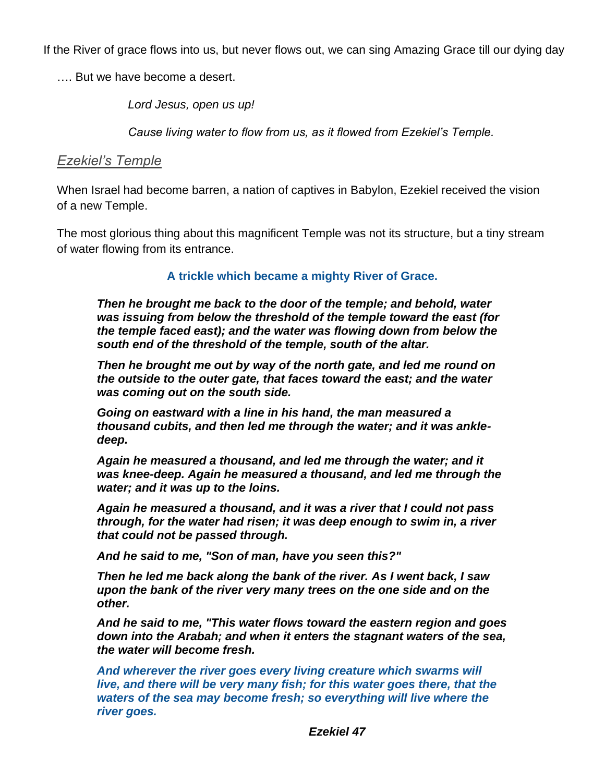If the River of grace flows into us, but never flows out, we can sing Amazing Grace till our dying day

…. But we have become a desert.

*Lord Jesus, open us up!*

*Cause living water to flow from us, as it flowed from Ezekiel's Temple.*

## *Ezekiel's Temple*

When Israel had become barren, a nation of captives in Babylon, Ezekiel received the vision of a new Temple.

The most glorious thing about this magnificent Temple was not its structure, but a tiny stream of water flowing from its entrance.

## **A trickle which became a mighty River of Grace.**

*Then he brought me back to the door of the temple; and behold, water was issuing from below the threshold of the temple toward the east (for the temple faced east); and the water was flowing down from below the south end of the threshold of the temple, south of the altar.*

*Then he brought me out by way of the north gate, and led me round on the outside to the outer gate, that faces toward the east; and the water was coming out on the south side.*

*Going on eastward with a line in his hand, the man measured a thousand cubits, and then led me through the water; and it was ankledeep.*

*Again he measured a thousand, and led me through the water; and it was knee-deep. Again he measured a thousand, and led me through the water; and it was up to the loins.*

*Again he measured a thousand, and it was a river that I could not pass through, for the water had risen; it was deep enough to swim in, a river that could not be passed through.*

*And he said to me, "Son of man, have you seen this?"*

*Then he led me back along the bank of the river. As I went back, I saw upon the bank of the river very many trees on the one side and on the other.*

*And he said to me, "This water flows toward the eastern region and goes down into the Arabah; and when it enters the stagnant waters of the sea, the water will become fresh.*

*And wherever the river goes every living creature which swarms will live, and there will be very many fish; for this water goes there, that the waters of the sea may become fresh; so everything will live where the river goes.*

*Ezekiel 47*